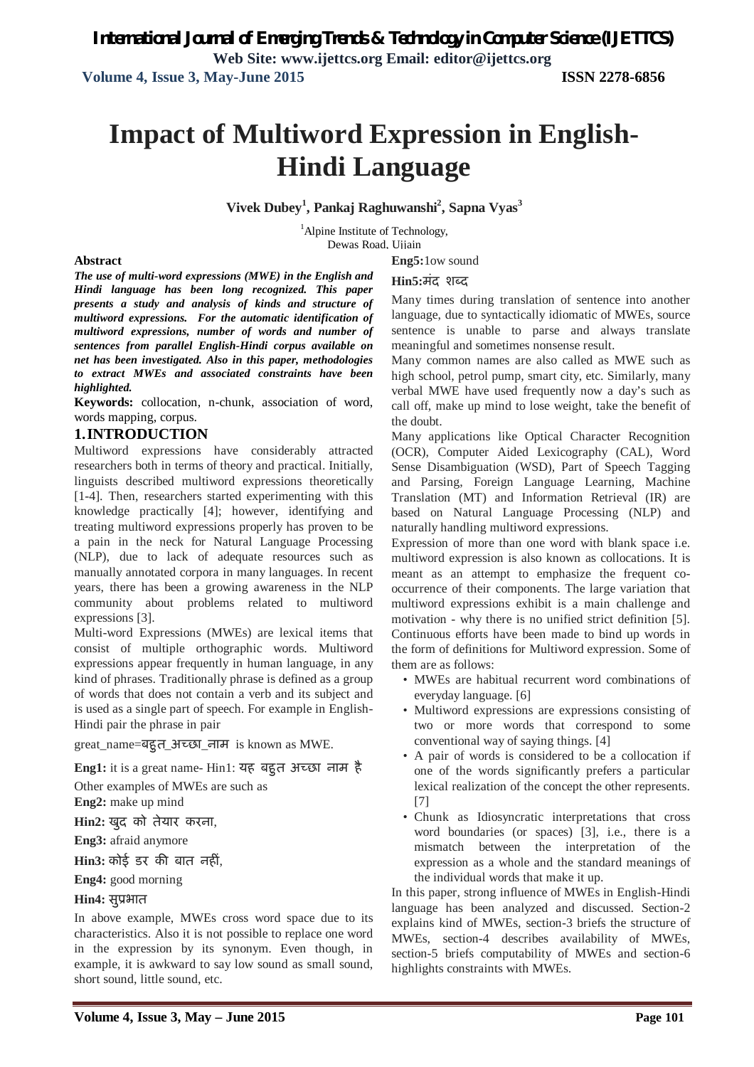# **Impact of Multiword Expression in English-Hindi Language**

**Vivek Dubey<sup>1</sup> , Pankaj Raghuwanshi<sup>2</sup> , Sapna Vyas<sup>3</sup>**

<sup>1</sup>Alpine Institute of Technology, Dewas Road, Ujjain

### **Abstract**

*The use of multi-word expressions (MWE) in the English and Hindi language has been long recognized. This paper presents a study and analysis of kinds and structure of multiword expressions. For the automatic identification of multiword expressions, number of words and number of sentences from parallel English-Hindi corpus available on net has been investigated. Also in this paper, methodologies to extract MWEs and associated constraints have been highlighted.*

**Keywords:** collocation, n-chunk, association of word, words mapping, corpus.

### **1.INTRODUCTION**

Multiword expressions have considerably attracted researchers both in terms of theory and practical. Initially, linguists described multiword expressions theoretically [1-4]. Then, researchers started experimenting with this knowledge practically [4]; however, identifying and treating multiword expressions properly has proven to be a pain in the neck for Natural Language Processing (NLP), due to lack of adequate resources such as manually annotated corpora in many languages. In recent years, there has been a growing awareness in the NLP community about problems related to multiword expressions [3].

Multi-word Expressions (MWEs) are lexical items that consist of multiple orthographic words. Multiword expressions appear frequently in human language, in any kind of phrases. Traditionally phrase is defined as a group of words that does not contain a verb and its subject and is used as a single part of speech. For example in English-Hindi pair the phrase in pair

great\_name=बद्दत\_अच्छा\_नाम is known as MWE.

Eng1: it is a great name- Hin1: यह बहुत अच्छा नाम है

Other examples of MWEs are such as

**Eng2:** make up mind

**Hin2:** खुद को तेयार करना,

**Eng3:** afraid anymore

**Hin3:** कोई डर की बात नहीं,

**Eng4:** good morning

### **Hin4: संप्रभात**

In above example, MWEs cross word space due to its characteristics. Also it is not possible to replace one word in the expression by its synonym. Even though, in example, it is awkward to say low sound as small sound, short sound, little sound, etc.

### **Eng5:**1ow sound **Hin5:मंद शब्द**

Many times during translation of sentence into another language, due to syntactically idiomatic of MWEs, source sentence is unable to parse and always translate meaningful and sometimes nonsense result.

Many common names are also called as MWE such as high school, petrol pump, smart city, etc. Similarly, many verbal MWE have used frequently now a day's such as call off, make up mind to lose weight, take the benefit of the doubt.

Many applications like Optical Character Recognition (OCR), Computer Aided Lexicography (CAL), Word Sense Disambiguation (WSD), Part of Speech Tagging and Parsing, Foreign Language Learning, Machine Translation (MT) and Information Retrieval (IR) are based on Natural Language Processing (NLP) and naturally handling multiword expressions.

Expression of more than one word with blank space i.e. multiword expression is also known as collocations. It is meant as an attempt to emphasize the frequent cooccurrence of their components. The large variation that multiword expressions exhibit is a main challenge and motivation - why there is no unified strict definition [5]. Continuous efforts have been made to bind up words in the form of definitions for Multiword expression. Some of them are as follows:

- MWEs are habitual recurrent word combinations of everyday language. [6]
- Multiword expressions are expressions consisting of two or more words that correspond to some conventional way of saying things. [4]
- A pair of words is considered to be a collocation if one of the words significantly prefers a particular lexical realization of the concept the other represents. [7]
- Chunk as Idiosyncratic interpretations that cross word boundaries (or spaces) [3], i.e., there is a mismatch between the interpretation of the expression as a whole and the standard meanings of the individual words that make it up.

In this paper, strong influence of MWEs in English-Hindi language has been analyzed and discussed. Section-2 explains kind of MWEs, section-3 briefs the structure of MWEs, section-4 describes availability of MWEs, section-5 briefs computability of MWEs and section-6 highlights constraints with MWEs.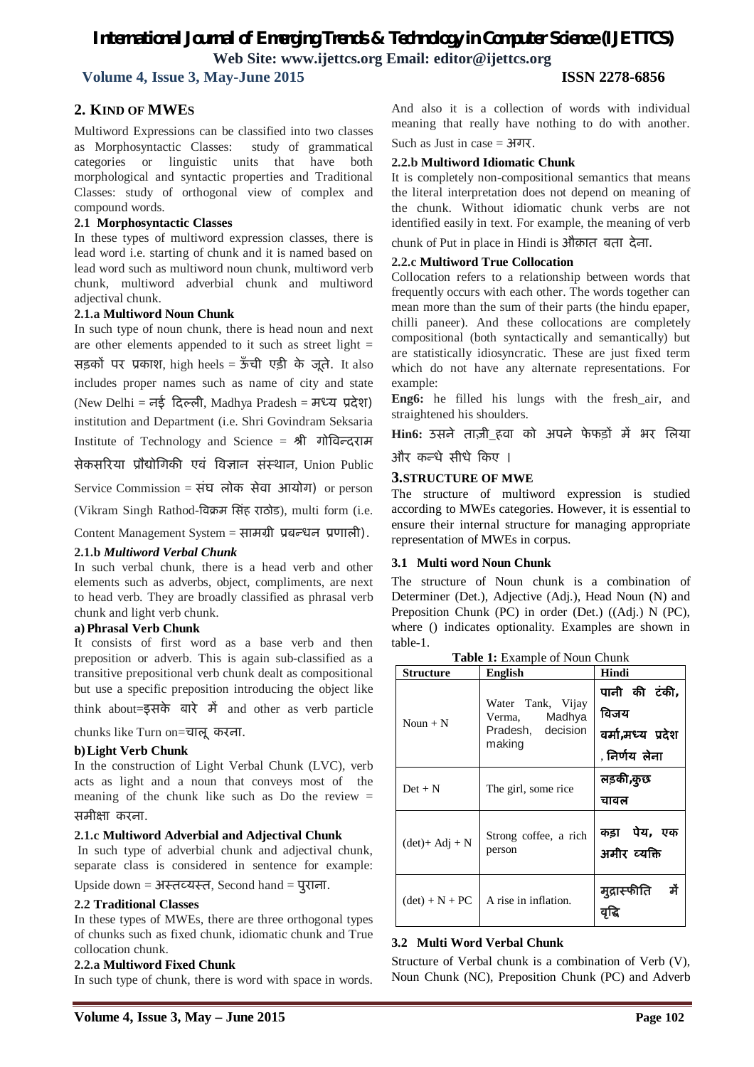## *International Journal of Emerging Trends & Technology in Computer Science (IJETTCS)* **Web Site: www.ijettcs.org Email: editor@ijettcs.org**

 **Volume 4, Issue 3, May-June 2015 ISSN 2278-6856**

### **2. KIND OF MWES**

Multiword Expressions can be classified into two classes as Morphosyntactic Classes: study of grammatical categories or linguistic units that have both morphological and syntactic properties and Traditional Classes: study of orthogonal view of complex and compound words.

### **2.1 Morphosyntactic Classes**

In these types of multiword expression classes, there is lead word i.e. starting of chunk and it is named based on lead word such as multiword noun chunk, multiword verb chunk, multiword adverbial chunk and multiword adjectival chunk.

### **2.1.a Multiword Noun Chunk**

In such type of noun chunk, there is head noun and next are other elements appended to it such as street light = सड़कों पर प्रकाश, high heels = ऊँची एड़ी के जूते. It also includes proper names such as name of city and state (New Delhi = नई दिल्ली, Madhya Pradesh = मध्य प्रदेश) institution and Department (i.e. Shri Govindram Seksaria

Institute of Technology and Science = श्री गोविन्दराम

सेकसरिया प्रौद्योगिकी एवं विज्ञान संस्थान, Union Public

Service Commission = संघ लोक सेवा आयोग) or person

(Vikram Singh Rathod-विक्रम सिंह राठोड), multi form (i.e.

Content Management System = सामग्री प्रबन्धन प्रणाली).

### **2.1.b** *Multiword Verbal Chunk*

In such verbal chunk, there is a head verb and other elements such as adverbs, object, compliments, are next to head verb. They are broadly classified as phrasal verb chunk and light verb chunk.

### **a) Phrasal Verb Chunk**

It consists of first word as a base verb and then preposition or adverb. This is again sub-classified as a transitive prepositional verb chunk dealt as compositional but use a specific preposition introducing the object like

think about= $\overrightarrow{5}$ सके बारे में and other as verb particle

chunks like Turn on=चालूकरना.

### **b)Light Verb Chunk**

In the construction of Light Verbal Chunk (LVC), verb acts as light and a noun that conveys most of the meaning of the chunk like such as Do the review  $=$ समी¢ा करना.

### **2.1.c Multiword Adverbial and Adjectival Chunk**

In such type of adverbial chunk and adjectival chunk, separate class is considered in sentence for example:

 $Upside down = 3$ स्तब्यस्त, Second hand = पुराना.

### **2.2 Traditional Classes**

In these types of MWEs, there are three orthogonal types of chunks such as fixed chunk, idiomatic chunk and True collocation chunk.

### **2.2.a Multiword Fixed Chunk**

In such type of chunk, there is word with space in words.

And also it is a collection of words with individual meaning that really have nothing to do with another.

Such as Just in case  $=$   $\frac{1}{2}$ 

### **2.2.b Multiword Idiomatic Chunk**

It is completely non-compositional semantics that means the literal interpretation does not depend on meaning of the chunk. Without idiomatic chunk verbs are not identified easily in text. For example, the meaning of verb

chunk of Put in place in Hindi is औक़ात बता देना.

### **2.2.c Multiword True Collocation**

Collocation refers to a relationship between words that frequently occurs with each other. The words together can mean more than the sum of their parts (the hindu epaper, chilli paneer). And these collocations are completely compositional (both syntactically and semantically) but are statistically idiosyncratic. These are just fixed term which do not have any alternate representations. For example:

**Eng6:** he filled his lungs with the fresh\_air, and straightened his shoulders.

**Hin6:** उसने ताजी हवा को अपने फेफड़ों में भर लिया

और कन्धे सीधे किए ।

### **3.STRUCTURE OF MWE**

The structure of multiword expression is studied according to MWEs categories. However, it is essential to ensure their internal structure for managing appropriate representation of MWEs in corpus.

### **3.1 Multi word Noun Chunk**

The structure of Noun chunk is a combination of Determiner (Det.), Adjective (Adj.), Head Noun (N) and Preposition Chunk (PC) in order (Det.) ((Adj.) N (PC), where () indicates optionality. Examples are shown in table-1.

| <b>Table 1:</b> Example of Noun Chunk  |                                                                      |                                                             |  |
|----------------------------------------|----------------------------------------------------------------------|-------------------------------------------------------------|--|
| Structure                              | English                                                              | Hindi                                                       |  |
| Noun $+ N$                             | Water Tank, Vijay<br>Madhya<br>Verma,<br>Pradesh, decision<br>making | पानी की टंकी,<br>विजय<br>वर्मा,मध्य प्रदेश<br>. निर्णय लेना |  |
| $Det + N$                              | The girl, some rice                                                  | लड़की,कुछ<br>चावल                                           |  |
| $(\text{det}) + \text{Adj} + \text{N}$ | Strong coffee, a rich<br>person                                      | कड़ा पेय, एक<br>अमीर व्यक्ति                                |  |
| $(det) + N + PC$                       | A rise in inflation.                                                 | में<br>मुद्रास्फीति                                         |  |

### **3.2 Multi Word Verbal Chunk**

Structure of Verbal chunk is a combination of Verb (V), Noun Chunk (NC), Preposition Chunk (PC) and Adverb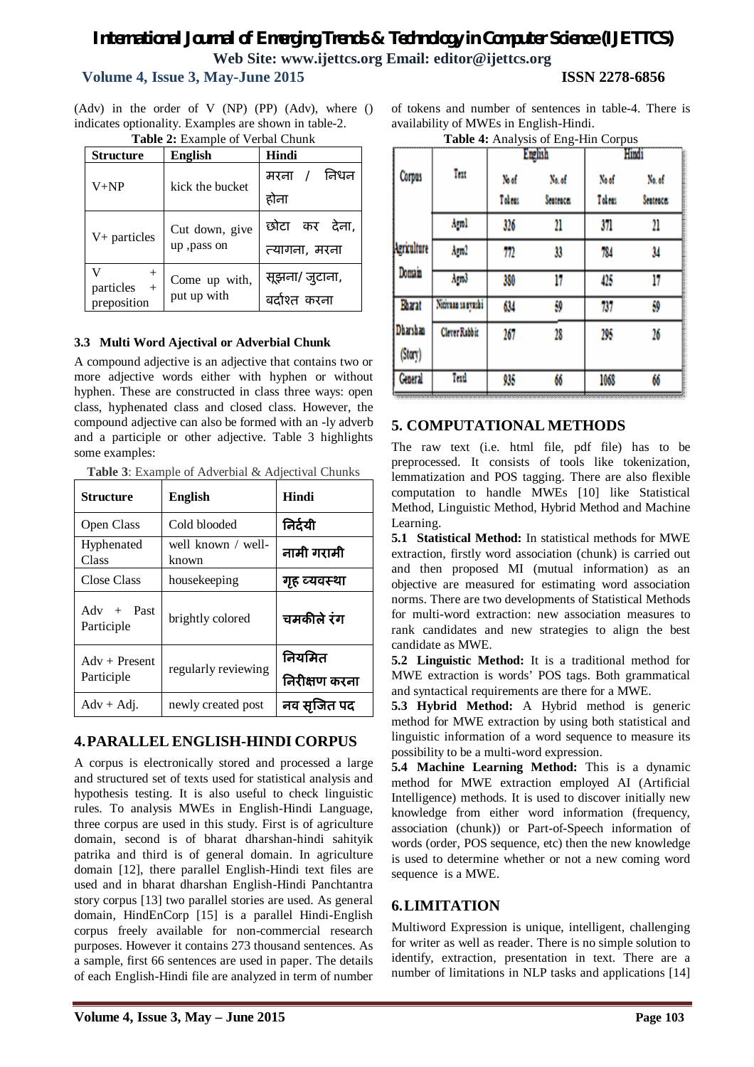## *International Journal of Emerging Trends & Technology in Computer Science (IJETTCS)* **Web Site: www.ijettcs.org Email: editor@ijettcs.org**

### **Volume 4, Issue 3, May-June 2015 ISSN 2278-6856**

(Adv) in the order of V (NP) (PP) (Adv), where () indicates optionality. Examples are shown in table-2. **Table 2:** Example of Verbal Chunk

| <b>Structure</b>   | <b>English</b>                | Hindi         |  |
|--------------------|-------------------------------|---------------|--|
| $V+NP$             | kick the bucket               | मरना / निधन   |  |
|                    |                               | होना          |  |
| $V+$ particles     | Cut down, give<br>up, pass on | छोटा कर देना, |  |
|                    |                               | त्यागना, मरना |  |
| particles          | Come up with,                 | सूझना/जुटाना, |  |
| $+$<br>preposition | put up with                   | बर्दाश्त करना |  |

### **3.3 Multi Word Ajectival or Adverbial Chunk**

A compound adjective is an adjective that contains two or more adjective words either with hyphen or without hyphen. These are constructed in class three ways: open class, hyphenated class and closed class. However, the compound adjective can also be formed with an -ly adverb and a participle or other adjective. Table 3 highlights some examples:

**Table 3**: Example of Adverbial & Adjectival Chunks

| <b>Structure</b>              | <b>English</b>              | <b>Hindi</b>            |
|-------------------------------|-----------------------------|-------------------------|
| Open Class                    | Cold blooded                | निर्दयी                 |
| Hyphenated<br>Class           | well known / well-<br>known | नामी गरामी              |
| Close Class                   | housekeeping                | गृह व्यवस्था            |
| $Adv + Past$<br>Participle    | brightly colored            | चमकीले रंग              |
| $Adv + Present$<br>Participle | regularly reviewing         | नियमित<br>निरीक्षण करना |
| $Adv + Adi.$                  | newly created post          | नव सजित पद              |

### **4.PARALLEL ENGLISH-HINDI CORPUS**

A corpus is electronically stored and processed a large and structured set of texts used for statistical analysis and hypothesis testing. It is also useful to check linguistic rules. To analysis MWEs in English-Hindi Language, three corpus are used in this study. First is of agriculture domain, second is of bharat dharshan-hindi sahityik patrika and third is of general domain. In agriculture domain [12], there parallel English-Hindi text files are used and in bharat dharshan English-Hindi Panchtantra story corpus [13] two parallel stories are used. As general domain, HindEnCorp [15] is a parallel Hindi-English corpus freely available for non-commercial research purposes. However it contains 273 thousand sentences. As a sample, first 66 sentences are used in paper. The details of each English-Hindi file are analyzed in term of number

of tokens and number of sentences in table-4. There is availability of MWEs in English-Hindi.

|  |  | Table 4: Analysis of Eng-Hin Corpus |  |
|--|--|-------------------------------------|--|
|--|--|-------------------------------------|--|

|                     |                      | <b>English</b> |                  | Hindi  |                  |
|---------------------|----------------------|----------------|------------------|--------|------------------|
| <b>Corpus</b>       | Text                 | No of          | No. of           | No of  | No. of           |
|                     |                      | Tobeus         | <b>Sentence:</b> | Tokens | <b>Sentence:</b> |
|                     | Agnl                 | 326            | 21               | 371    | 21               |
| Agriculture         | Am2                  | 77)            | 33               | 784    | 34               |
| Domain              | Arm3                 | 380            | 17               | 425    | 17               |
| Bharat              | Nitiraan sa nyashi   | 634            | 59               | 737    | 59               |
| Dharshan<br>(Stary) | <b>Clever Rabbit</b> | 267            | 28               | 295    | 26               |
| <b>General</b>      | Text                 | 935            | 66               | 1068   | 66               |

### **5. COMPUTATIONAL METHODS**

The raw text (i.e. html file, pdf file) has to be preprocessed. It consists of tools like tokenization, lemmatization and POS tagging. There are also flexible computation to handle MWEs [10] like Statistical Method, Linguistic Method, Hybrid Method and Machine Learning.

**5.1 Statistical Method:** In statistical methods for MWE extraction, firstly word association (chunk) is carried out and then proposed MI (mutual information) as an objective are measured for estimating word association norms. There are two developments of Statistical Methods for multi-word extraction: new association measures to rank candidates and new strategies to align the best candidate as MWE.

**5.2 Linguistic Method:** It is a traditional method for MWE extraction is words' POS tags. Both grammatical and syntactical requirements are there for a MWE.

**5.3 Hybrid Method:** A Hybrid method is generic method for MWE extraction by using both statistical and linguistic information of a word sequence to measure its possibility to be a multi-word expression.

**5.4 Machine Learning Method:** This is a dynamic method for MWE extraction employed AI (Artificial Intelligence) methods. It is used to discover initially new knowledge from either word information (frequency, association (chunk)) or Part-of-Speech information of words (order, POS sequence, etc) then the new knowledge is used to determine whether or not a new coming word sequence is a MWE.

### **6.LIMITATION**

Multiword Expression is unique, intelligent, challenging for writer as well as reader. There is no simple solution to identify, extraction, presentation in text. There are a number of limitations in NLP tasks and applications [14]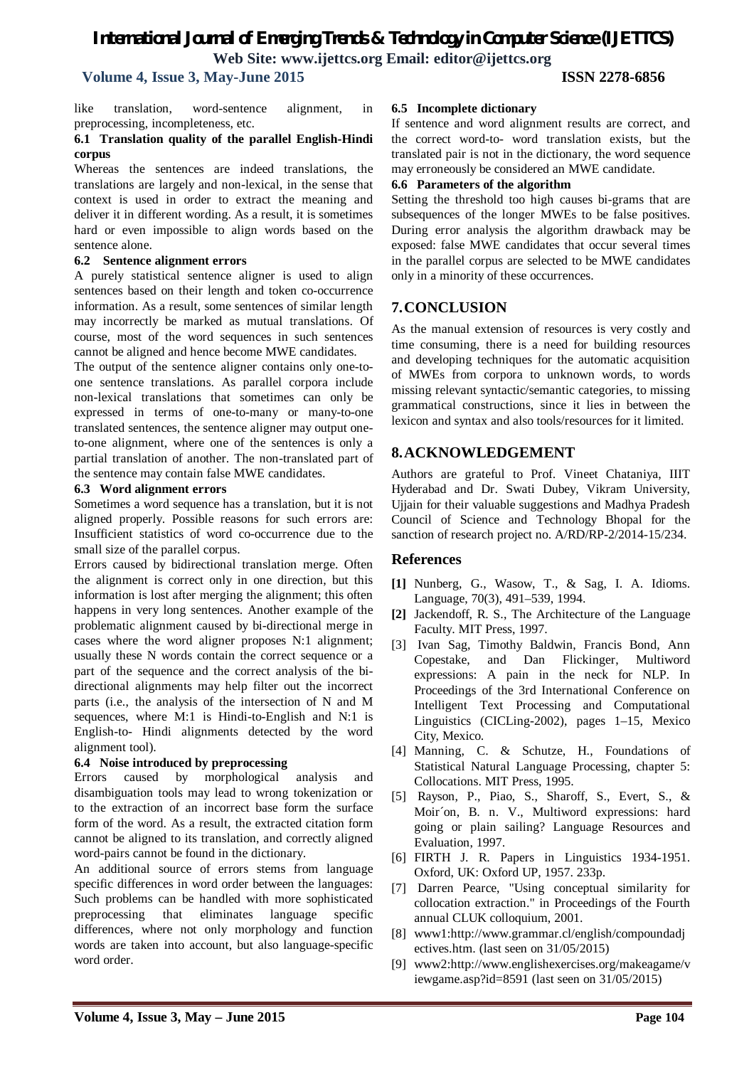### *International Journal of Emerging Trends & Technology in Computer Science (IJETTCS)* **Web Site: www.ijettcs.org Email: editor@ijettcs.org Volume 4, Issue 3, May-June 2015 ISSN 2278-6856**

like translation, word-sentence alignment, in preprocessing, incompleteness, etc.

### **6.1 Translation quality of the parallel English-Hindi corpus**

Whereas the sentences are indeed translations, the translations are largely and non-lexical, in the sense that context is used in order to extract the meaning and deliver it in different wording. As a result, it is sometimes hard or even impossible to align words based on the sentence alone.

### **6.2 Sentence alignment errors**

A purely statistical sentence aligner is used to align sentences based on their length and token co-occurrence information. As a result, some sentences of similar length may incorrectly be marked as mutual translations. Of course, most of the word sequences in such sentences cannot be aligned and hence become MWE candidates.

The output of the sentence aligner contains only one-toone sentence translations. As parallel corpora include non-lexical translations that sometimes can only be expressed in terms of one-to-many or many-to-one translated sentences, the sentence aligner may output oneto-one alignment, where one of the sentences is only a partial translation of another. The non-translated part of the sentence may contain false MWE candidates.

### **6.3 Word alignment errors**

Sometimes a word sequence has a translation, but it is not aligned properly. Possible reasons for such errors are: Insufficient statistics of word co-occurrence due to the small size of the parallel corpus.

Errors caused by bidirectional translation merge. Often the alignment is correct only in one direction, but this information is lost after merging the alignment; this often happens in very long sentences. Another example of the problematic alignment caused by bi-directional merge in cases where the word aligner proposes N:1 alignment; usually these N words contain the correct sequence or a part of the sequence and the correct analysis of the bidirectional alignments may help filter out the incorrect parts (i.e., the analysis of the intersection of N and M sequences, where M:1 is Hindi-to-English and N:1 is English-to- Hindi alignments detected by the word alignment tool).

### **6.4 Noise introduced by preprocessing**

Errors caused by morphological analysis and disambiguation tools may lead to wrong tokenization or to the extraction of an incorrect base form the surface form of the word. As a result, the extracted citation form cannot be aligned to its translation, and correctly aligned word-pairs cannot be found in the dictionary.

An additional source of errors stems from language specific differences in word order between the languages: Such problems can be handled with more sophisticated preprocessing that eliminates language specific differences, where not only morphology and function words are taken into account, but also language-specific word order.

### **6.5 Incomplete dictionary**

If sentence and word alignment results are correct, and the correct word-to- word translation exists, but the translated pair is not in the dictionary, the word sequence may erroneously be considered an MWE candidate.

### **6.6 Parameters of the algorithm**

Setting the threshold too high causes bi-grams that are subsequences of the longer MWEs to be false positives. During error analysis the algorithm drawback may be exposed: false MWE candidates that occur several times in the parallel corpus are selected to be MWE candidates only in a minority of these occurrences.

### **7.CONCLUSION**

As the manual extension of resources is very costly and time consuming, there is a need for building resources and developing techniques for the automatic acquisition of MWEs from corpora to unknown words, to words missing relevant syntactic/semantic categories, to missing grammatical constructions, since it lies in between the lexicon and syntax and also tools/resources for it limited.

### **8.ACKNOWLEDGEMENT**

Authors are grateful to Prof. Vineet Chataniya, IIIT Hyderabad and Dr. Swati Dubey, Vikram University, Ujjain for their valuable suggestions and Madhya Pradesh Council of Science and Technology Bhopal for the sanction of research project no. A/RD/RP-2/2014-15/234.

### **References**

- **[1]** Nunberg, G., Wasow, T., & Sag, I. A. Idioms. Language, 70(3), 491–539, 1994.
- **[2]** Jackendoff, R. S., The Architecture of the Language Faculty. MIT Press, 1997.
- [3] Ivan Sag, Timothy Baldwin, Francis Bond, Ann Copestake, and Dan Flickinger, Multiword expressions: A pain in the neck for NLP. In Proceedings of the 3rd International Conference on Intelligent Text Processing and Computational Linguistics (CICLing-2002), pages 1–15, Mexico City, Mexico.
- [4] Manning, C. & Schutze, H., Foundations of Statistical Natural Language Processing, chapter 5: Collocations. MIT Press, 1995.
- [5] Rayson, P., Piao, S., Sharoff, S., Evert, S., & Moir´on, B. n. V., Multiword expressions: hard going or plain sailing? Language Resources and Evaluation, 1997.
- [6] FIRTH J. R. Papers in Linguistics 1934-1951. Oxford, UK: Oxford UP, 1957. 233p.
- [7] Darren Pearce, "Using conceptual similarity for collocation extraction." in Proceedings of the Fourth annual CLUK colloquium, 2001.
- [8] www1:http://www.grammar.cl/english/compoundadj ectives.htm. (last seen on 31/05/2015)
- [9] www2:http://www.englishexercises.org/makeagame/v iewgame.asp?id=8591 (last seen on 31/05/2015)